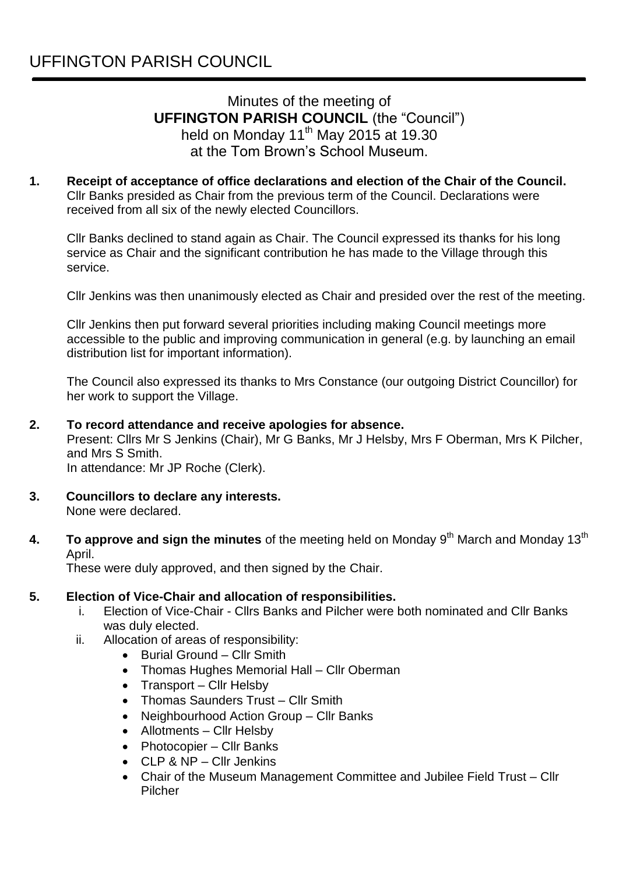# Minutes of the meeting of **UFFINGTON PARISH COUNCIL** (the "Council") held on Monday 11<sup>th</sup> May 2015 at 19.30 at the Tom Brown's School Museum.

**1. Receipt of acceptance of office declarations and election of the Chair of the Council.**  Cllr Banks presided as Chair from the previous term of the Council. Declarations were received from all six of the newly elected Councillors.

Cllr Banks declined to stand again as Chair. The Council expressed its thanks for his long service as Chair and the significant contribution he has made to the Village through this service.

Cllr Jenkins was then unanimously elected as Chair and presided over the rest of the meeting.

Cllr Jenkins then put forward several priorities including making Council meetings more accessible to the public and improving communication in general (e.g. by launching an email distribution list for important information).

The Council also expressed its thanks to Mrs Constance (our outgoing District Councillor) for her work to support the Village.

#### **2. To record attendance and receive apologies for absence.**

Present: Cllrs Mr S Jenkins (Chair), Mr G Banks, Mr J Helsby, Mrs F Oberman, Mrs K Pilcher, and Mrs S Smith.

In attendance: Mr JP Roche (Clerk).

- **3. Councillors to declare any interests.** None were declared.
- **4. To approve and sign the minutes** of the meeting held on Monday 9<sup>th</sup> March and Monday 13<sup>th</sup> April.

These were duly approved, and then signed by the Chair.

#### **5. Election of Vice-Chair and allocation of responsibilities.**

- i. Election of Vice-Chair Cllrs Banks and Pilcher were both nominated and Cllr Banks was duly elected.
- ii. Allocation of areas of responsibility:
	- Burial Ground Cllr Smith
	- Thomas Hughes Memorial Hall Cllr Oberman
	- Transport Cllr Helsby
	- Thomas Saunders Trust Cllr Smith
	- Neighbourhood Action Group Cllr Banks
	- Allotments Cllr Helsby
	- Photocopier Cllr Banks
	- CLP & NP Cllr Jenkins
	- Chair of the Museum Management Committee and Jubilee Field Trust Cllr Pilcher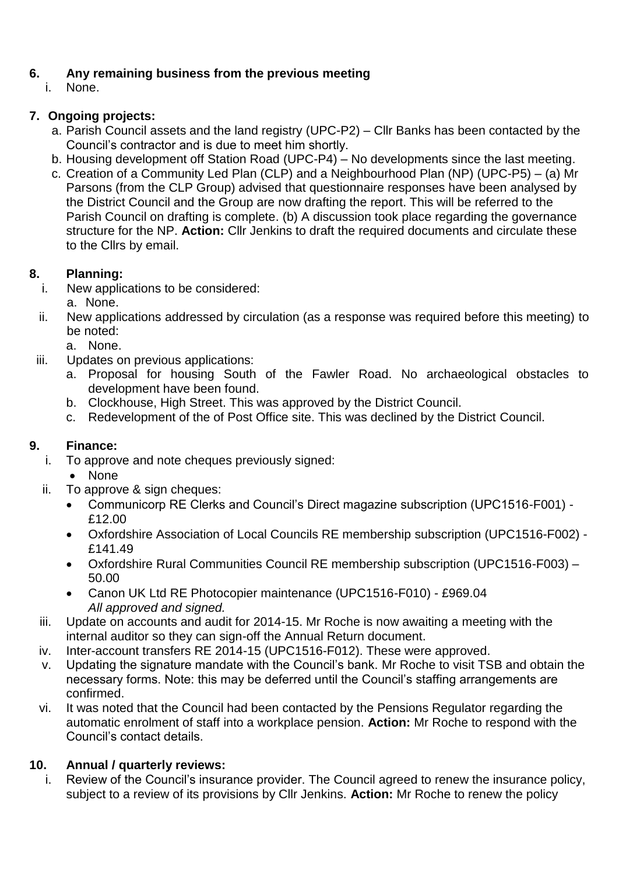# **6. Any remaining business from the previous meeting**

None.

## **7. Ongoing projects:**

- a. Parish Council assets and the land registry (UPC-P2) Cllr Banks has been contacted by the Council's contractor and is due to meet him shortly.
- b. Housing development off Station Road (UPC-P4) No developments since the last meeting.
- c. Creation of a Community Led Plan (CLP) and a Neighbourhood Plan (NP) (UPC-P5) (a) Mr Parsons (from the CLP Group) advised that questionnaire responses have been analysed by the District Council and the Group are now drafting the report. This will be referred to the Parish Council on drafting is complete. (b) A discussion took place regarding the governance structure for the NP. **Action:** Cllr Jenkins to draft the required documents and circulate these to the Cllrs by email.

#### **8. Planning:**

- i. New applications to be considered:
- a. None.
- ii. New applications addressed by circulation (as a response was required before this meeting) to be noted:
	- a. None.
- iii. Updates on previous applications:
	- a. Proposal for housing South of the Fawler Road. No archaeological obstacles to development have been found.
	- b. Clockhouse, High Street. This was approved by the District Council.
	- c. Redevelopment of the of Post Office site. This was declined by the District Council.

## **9. Finance:**

- i. To approve and note cheques previously signed:
	- None
- ii. To approve & sign cheques:
	- Communicorp RE Clerks and Council's Direct magazine subscription (UPC1516-F001) £12.00
	- Oxfordshire Association of Local Councils RE membership subscription (UPC1516-F002) £141.49
	- Oxfordshire Rural Communities Council RE membership subscription (UPC1516-F003) 50.00
	- Canon UK Ltd RE Photocopier maintenance (UPC1516-F010) £969.04 *All approved and signed.*
- iii. Update on accounts and audit for 2014-15. Mr Roche is now awaiting a meeting with the internal auditor so they can sign-off the Annual Return document.
- iv. Inter-account transfers RE 2014-15 (UPC1516-F012). These were approved.
- v. Updating the signature mandate with the Council's bank. Mr Roche to visit TSB and obtain the necessary forms. Note: this may be deferred until the Council's staffing arrangements are confirmed.
- vi. It was noted that the Council had been contacted by the Pensions Regulator regarding the automatic enrolment of staff into a workplace pension. **Action:** Mr Roche to respond with the Council's contact details.

## **10. Annual / quarterly reviews:**

i. Review of the Council's insurance provider. The Council agreed to renew the insurance policy, subject to a review of its provisions by Cllr Jenkins. **Action:** Mr Roche to renew the policy